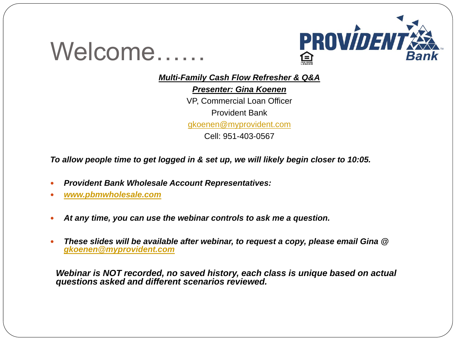

*Multi-Family Cash Flow Refresher & Q&A*

*Presenter: Gina Koenen*  VP, Commercial Loan Officer Provident Bank [gkoenen@myprovident.com](mailto:gkoenen@myprovident.com)

Cell: 951-403-0567

*To allow people time to get logged in & set up, we will likely begin closer to 10:05.*

- *Provident Bank Wholesale Account Representatives:*
- *[www.pbmwholesale.com](http://www.pbmwholesale.com/)*

Welcome……

- *At any time, you can use the webinar controls to ask me a question.*
- *These slides will be available after webinar, to request a copy, please email Gina @ [gkoenen@myprovident.com](mailto:gkoenen@myprovident.com)*

*Webinar is NOT recorded, no saved history, each class is unique based on actual questions asked and different scenarios reviewed.*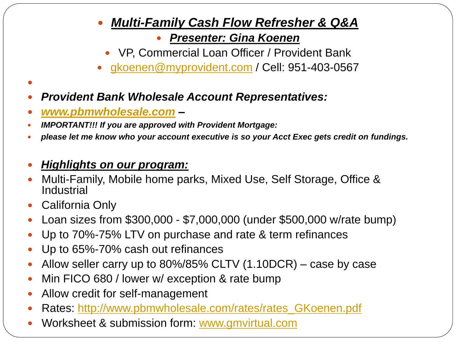### *Multi-Family Cash Flow Refresher & Q&A*

#### *Presenter: Gina Koenen*

- VP, Commercial Loan Officer / Provident Bank
- [gkoenen@myprovident.com](mailto:gkoenen@myprovident.com) / Cell: 951-403-0567
- *Provident Bank Wholesale Account Representatives:*
- *[www.pbmwholesale.com](http://www.pbmwholesale.com/) –*
- *IMPORTANT!!! If you are approved with Provident Mortgage:*
- *please let me know who your account executive is so your Acct Exec gets credit on fundings.*
- *Highlights on our program:*
- Multi-Family, Mobile home parks, Mixed Use, Self Storage, Office & **Industrial**
- California Only

 $\bullet$ 

- Loan sizes from \$300,000 \$7,000,000 (under \$500,000 w/rate bump)
- Up to 70%-75% LTV on purchase and rate & term refinances
- Up to 65%-70% cash out refinances
- Allow seller carry up to 80%/85% CLTV (1.10DCR) case by case
- Min FICO 680 / lower w/ exception & rate bump
- Allow credit for self-management
- Rates: [http://www.pbmwholesale.com/rates/rates\\_GKoenen.pdf](http://www.pbmwholesale.com/rates/rates_GKoenen.pdf)
- Worksheet & submission form: [www.gmvirtual.com](http://www.gmvirtual.com/)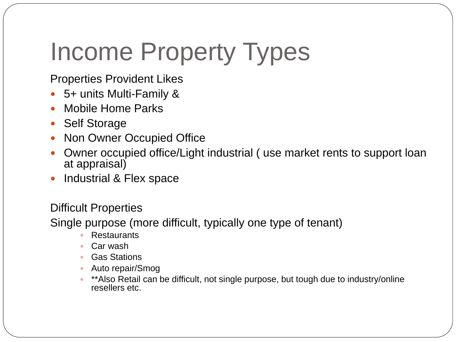# Income Property Types

Properties Provident Likes

- 5+ units Multi-Family &
- Mobile Home Parks
- Self Storage
- Non Owner Occupied Office
- Owner occupied office/Light industrial ( use market rents to support loan at appraisal)
- Industrial & Flex space

#### Difficult Properties

Single purpose (more difficult, typically one type of tenant)

- Restaurants
- Car wash
- Gas Stations
- Auto repair/Smog
- \*\*Also Retail can be difficult, not single purpose, but tough due to industry/online resellers etc.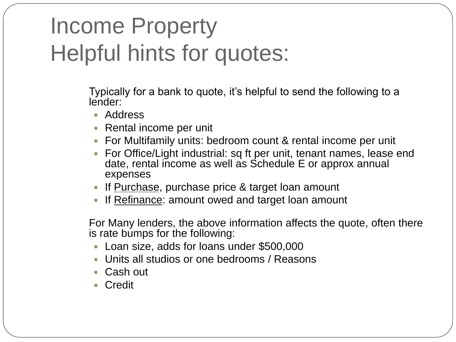### Income Property Helpful hints for quotes:

Typically for a bank to quote, it's helpful to send the following to a lender:

- Address
- Rental income per unit
- For Multifamily units: bedroom count & rental income per unit
- For Office/Light industrial: sq ft per unit, tenant names, lease end date, rental income as well as Schedule E or approx annual expenses
- If Purchase, purchase price & target loan amount
- If Refinance: amount owed and target loan amount

For Many lenders, the above information affects the quote, often there is rate bumps for the following:

- Loan size, adds for loans under \$500,000
- Units all studios or one bedrooms / Reasons
- Cash out
- Credit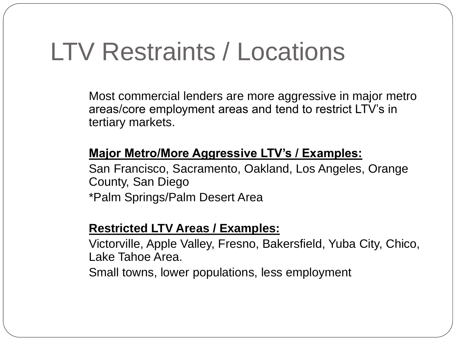## LTV Restraints / Locations

Most commercial lenders are more aggressive in major metro areas/core employment areas and tend to restrict LTV's in tertiary markets.

#### **Major Metro/More Aggressive LTV's / Examples:**

San Francisco, Sacramento, Oakland, Los Angeles, Orange County, San Diego

\*Palm Springs/Palm Desert Area

#### **Restricted LTV Areas / Examples:**

Victorville, Apple Valley, Fresno, Bakersfield, Yuba City, Chico, Lake Tahoe Area.

Small towns, lower populations, less employment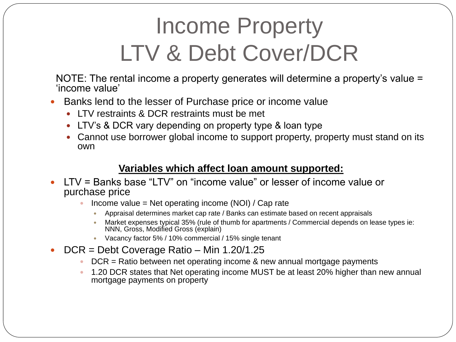### Income Property LTV & Debt Cover/DCR

NOTE: The rental income a property generates will determine a property's value = 'income value'

- Banks lend to the lesser of Purchase price or income value
	- LTV restraints & DCR restraints must be met
	- LTV's & DCR vary depending on property type & loan type
	- Cannot use borrower global income to support property, property must stand on its own

#### **Variables which affect loan amount supported:**

- LTV = Banks base "LTV" on "income value" or lesser of income value or purchase price
	- Income value = Net operating income (NOI) / Cap rate
		- Appraisal determines market cap rate / Banks can estimate based on recent appraisals
		- Market expenses typical 35% (rule of thumb for apartments / Commercial depends on lease types ie: NNN, Gross, Modified Gross (explain)
		- Vacancy factor 5% / 10% commercial / 15% single tenant
- $\bullet$  DCR = Debt Coverage Ratio Min 1.20/1.25
	- $\bullet$  DCR = Ratio between net operating income & new annual mortgage payments
	- 1.20 DCR states that Net operating income MUST be at least 20% higher than new annual mortgage payments on property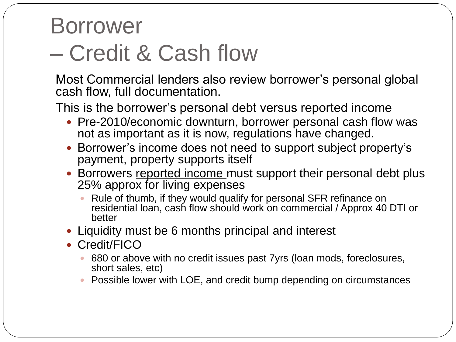### Borrower – Credit & Cash flow

Most Commercial lenders also review borrower's personal global cash flow, full documentation.

This is the borrower's personal debt versus reported income

- Pre-2010/economic downturn, borrower personal cash flow was not as important as it is now, regulations have changed.
- Borrower's income does not need to support subject property's payment, property supports itself
- Borrowers reported income must support their personal debt plus 25% approx for living expenses
	- Rule of thumb, if they would qualify for personal SFR refinance on residential loan, cash flow should work on commercial / Approx 40 DTI or better
- Liquidity must be 6 months principal and interest
- Credit/FICO
	- 680 or above with no credit issues past 7yrs (loan mods, foreclosures, short sales, etc)
	- Possible lower with LOE, and credit bump depending on circumstances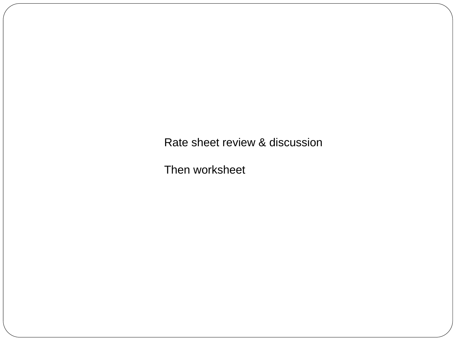Rate sheet review & discussion

Then worksheet